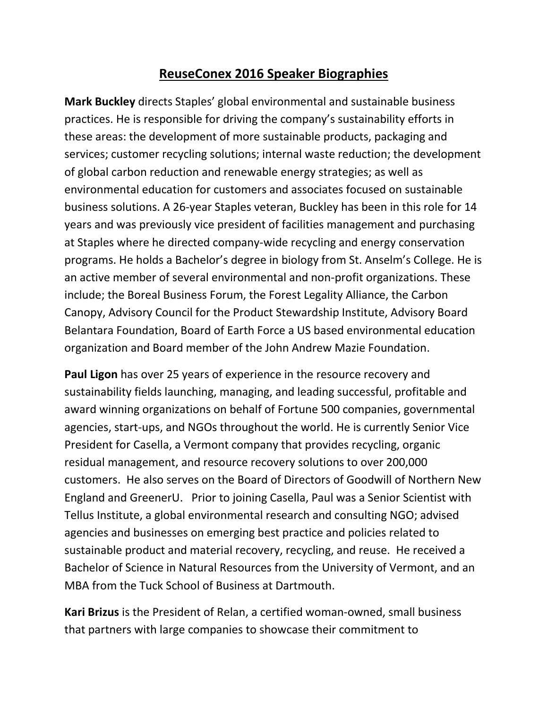## **ReuseConex 2016 Speaker Biographies**

**Mark Buckley** directs Staples' global environmental and sustainable business practices. He is responsible for driving the company's sustainability efforts in these areas: the development of more sustainable products, packaging and services; customer recycling solutions; internal waste reduction; the development of global carbon reduction and renewable energy strategies; as well as environmental education for customers and associates focused on sustainable business solutions. A 26-year Staples veteran, Buckley has been in this role for 14 years and was previously vice president of facilities management and purchasing at Staples where he directed company-wide recycling and energy conservation programs. He holds a Bachelor's degree in biology from St. Anselm's College. He is an active member of several environmental and non-profit organizations. These include; the Boreal Business Forum, the Forest Legality Alliance, the Carbon Canopy, Advisory Council for the Product Stewardship Institute, Advisory Board Belantara Foundation, Board of Earth Force a US based environmental education organization and Board member of the John Andrew Mazie Foundation.

**Paul Ligon** has over 25 years of experience in the resource recovery and sustainability fields launching, managing, and leading successful, profitable and award winning organizations on behalf of Fortune 500 companies, governmental agencies, start-ups, and NGOs throughout the world. He is currently Senior Vice President for Casella, a Vermont company that provides recycling, organic residual management, and resource recovery solutions to over 200,000 customers. He also serves on the Board of Directors of Goodwill of Northern New England and GreenerU. Prior to joining Casella, Paul was a Senior Scientist with Tellus Institute, a global environmental research and consulting NGO; advised agencies and businesses on emerging best practice and policies related to sustainable product and material recovery, recycling, and reuse. He received a Bachelor of Science in Natural Resources from the University of Vermont, and an MBA from the Tuck School of Business at Dartmouth.

**Kari Brizus** is the President of Relan, a certified woman-owned, small business that partners with large companies to showcase their commitment to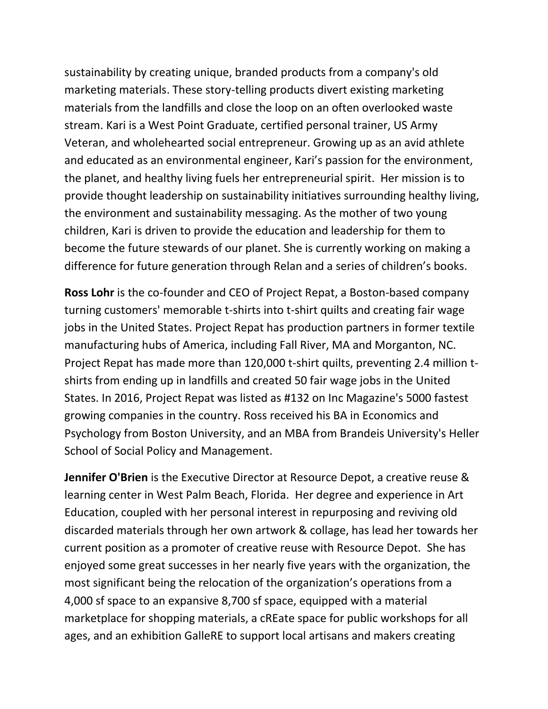sustainability by creating unique, branded products from a company's old marketing materials. These story-telling products divert existing marketing materials from the landfills and close the loop on an often overlooked waste stream. Kari is a West Point Graduate, certified personal trainer, US Army Veteran, and wholehearted social entrepreneur. Growing up as an avid athlete and educated as an environmental engineer, Kari's passion for the environment, the planet, and healthy living fuels her entrepreneurial spirit. Her mission is to provide thought leadership on sustainability initiatives surrounding healthy living, the environment and sustainability messaging. As the mother of two young children, Kari is driven to provide the education and leadership for them to become the future stewards of our planet. She is currently working on making a difference for future generation through Relan and a series of children's books.

**Ross Lohr** is the co-founder and CEO of Project Repat, a Boston-based company turning customers' memorable t-shirts into t-shirt quilts and creating fair wage jobs in the United States. Project Repat has production partners in former textile manufacturing hubs of America, including Fall River, MA and Morganton, NC. Project Repat has made more than 120,000 t-shirt quilts, preventing 2.4 million tshirts from ending up in landfills and created 50 fair wage jobs in the United States. In 2016, Project Repat was listed as #132 on Inc Magazine's 5000 fastest growing companies in the country. Ross received his BA in Economics and Psychology from Boston University, and an MBA from Brandeis University's Heller School of Social Policy and Management.

**Jennifer O'Brien** is the Executive Director at Resource Depot, a creative reuse & learning center in West Palm Beach, Florida. Her degree and experience in Art Education, coupled with her personal interest in repurposing and reviving old discarded materials through her own artwork & collage, has lead her towards her current position as a promoter of creative reuse with Resource Depot. She has enjoyed some great successes in her nearly five years with the organization, the most significant being the relocation of the organization's operations from a 4,000 sf space to an expansive 8,700 sf space, equipped with a material marketplace for shopping materials, a cREate space for public workshops for all ages, and an exhibition GalleRE to support local artisans and makers creating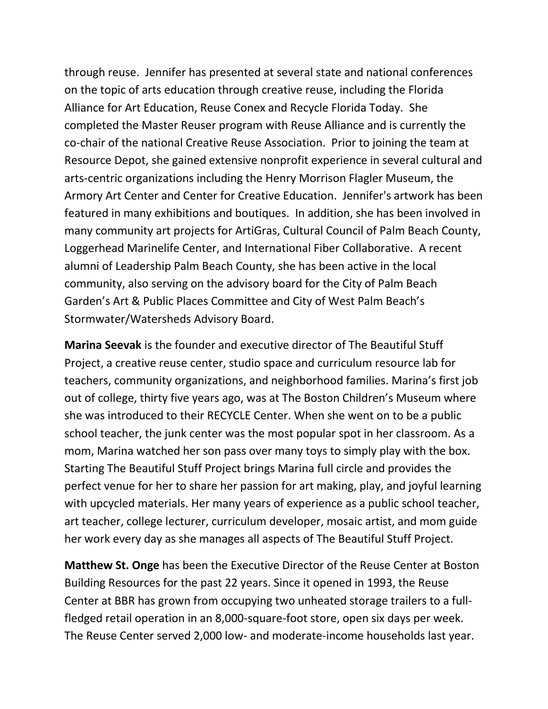through reuse. Jennifer has presented at several state and national conferences on the topic of arts education through creative reuse, including the Florida Alliance for Art Education, Reuse Conex and Recycle Florida Today. She completed the Master Reuser program with Reuse Alliance and is currently the co-chair of the national Creative Reuse Association. Prior to joining the team at Resource Depot, she gained extensive nonprofit experience in several cultural and arts-centric organizations including the Henry Morrison Flagler Museum, the Armory Art Center and Center for Creative Education. Jennifer's artwork has been featured in many exhibitions and boutiques. In addition, she has been involved in many community art projects for ArtiGras, Cultural Council of Palm Beach County, Loggerhead Marinelife Center, and International Fiber Collaborative. A recent alumni of Leadership Palm Beach County, she has been active in the local community, also serving on the advisory board for the City of Palm Beach Garden's Art & Public Places Committee and City of West Palm Beach's Stormwater/Watersheds Advisory Board.

**Marina Seevak** is the founder and executive director of The Beautiful Stuff Project, a creative reuse center, studio space and curriculum resource lab for teachers, community organizations, and neighborhood families. Marina's first job out of college, thirty five years ago, was at The Boston Children's Museum where she was introduced to their RECYCLE Center. When she went on to be a public school teacher, the junk center was the most popular spot in her classroom. As a mom, Marina watched her son pass over many toys to simply play with the box. Starting The Beautiful Stuff Project brings Marina full circle and provides the perfect venue for her to share her passion for art making, play, and joyful learning with upcycled materials. Her many years of experience as a public school teacher, art teacher, college lecturer, curriculum developer, mosaic artist, and mom guide her work every day as she manages all aspects of The Beautiful Stuff Project.

**Matthew St. Onge** has been the Executive Director of the Reuse Center at Boston Building Resources for the past 22 years. Since it opened in 1993, the Reuse Center at BBR has grown from occupying two unheated storage trailers to a fullfledged retail operation in an 8,000-square-foot store, open six days per week. The Reuse Center served 2,000 low- and moderate-income households last year.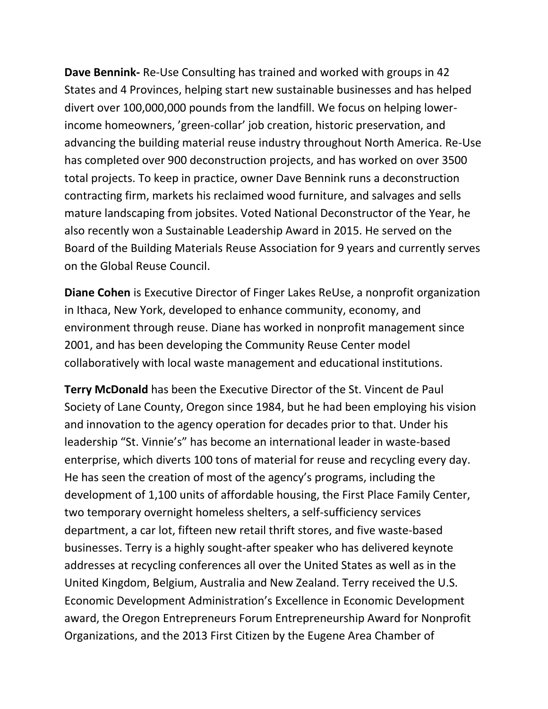**Dave Bennink-** Re-Use Consulting has trained and worked with groups in 42 States and 4 Provinces, helping start new sustainable businesses and has helped divert over 100,000,000 pounds from the landfill. We focus on helping lowerincome homeowners, 'green-collar' job creation, historic preservation, and advancing the building material reuse industry throughout North America. Re-Use has completed over 900 deconstruction projects, and has worked on over 3500 total projects. To keep in practice, owner Dave Bennink runs a deconstruction contracting firm, markets his reclaimed wood furniture, and salvages and sells mature landscaping from jobsites. Voted National Deconstructor of the Year, he also recently won a Sustainable Leadership Award in 2015. He served on the Board of the Building Materials Reuse Association for 9 years and currently serves on the Global Reuse Council.

**Diane Cohen** is Executive Director of Finger Lakes ReUse, a nonprofit organization in Ithaca, New York, developed to enhance community, economy, and environment through reuse. Diane has worked in nonprofit management since 2001, and has been developing the Community Reuse Center model collaboratively with local waste management and educational institutions.

**Terry McDonald** has been the Executive Director of the St. Vincent de Paul Society of Lane County, Oregon since 1984, but he had been employing his vision and innovation to the agency operation for decades prior to that. Under his leadership "St. Vinnie's" has become an international leader in waste-based enterprise, which diverts 100 tons of material for reuse and recycling every day. He has seen the creation of most of the agency's programs, including the development of 1,100 units of affordable housing, the First Place Family Center, two temporary overnight homeless shelters, a self-sufficiency services department, a car lot, fifteen new retail thrift stores, and five waste-based businesses. Terry is a highly sought-after speaker who has delivered keynote addresses at recycling conferences all over the United States as well as in the United Kingdom, Belgium, Australia and New Zealand. Terry received the U.S. Economic Development Administration's Excellence in Economic Development award, the Oregon Entrepreneurs Forum Entrepreneurship Award for Nonprofit Organizations, and the 2013 First Citizen by the Eugene Area Chamber of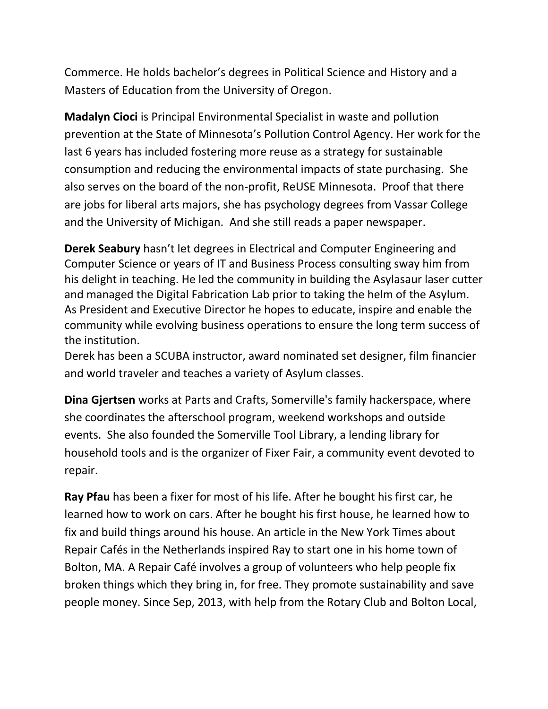Commerce. He holds bachelor's degrees in Political Science and History and a Masters of Education from the University of Oregon.

**Madalyn Cioci** is Principal Environmental Specialist in waste and pollution prevention at the State of Minnesota's Pollution Control Agency. Her work for the last 6 years has included fostering more reuse as a strategy for sustainable consumption and reducing the environmental impacts of state purchasing. She also serves on the board of the non-profit, ReUSE Minnesota. Proof that there are jobs for liberal arts majors, she has psychology degrees from Vassar College and the University of Michigan. And she still reads a paper newspaper.

**Derek Seabury** hasn't let degrees in Electrical and Computer Engineering and Computer Science or years of IT and Business Process consulting sway him from his delight in teaching. He led the community in building the Asylasaur laser cutter and managed the Digital Fabrication Lab prior to taking the helm of the Asylum. As President and Executive Director he hopes to educate, inspire and enable the community while evolving business operations to ensure the long term success of the institution.

Derek has been a SCUBA instructor, award nominated set designer, film financier and world traveler and teaches a variety of Asylum classes.

**Dina Gjertsen** works at Parts and Crafts, Somerville's family hackerspace, where she coordinates the afterschool program, weekend workshops and outside events. She also founded the [Somerville Tool Library](http://www.somervilletoollibrary.com/), a lending library for household tools and is the organizer of Fixer Fair, a community event devoted to repair.

**Ray Pfau** has been a fixer for most of his life. After he bought his first car, he learned how to work on cars. After he bought his first house, he learned how to fix and build things around his house. An article in the New York Times about Repair Cafés in the Netherlands inspired Ray to start one in his home town of Bolton, MA. A Repair Café involves a group of volunteers who help people fix broken things which they bring in, for free. They promote sustainability and save people money. Since Sep, 2013, with help from the Rotary Club and Bolton Local,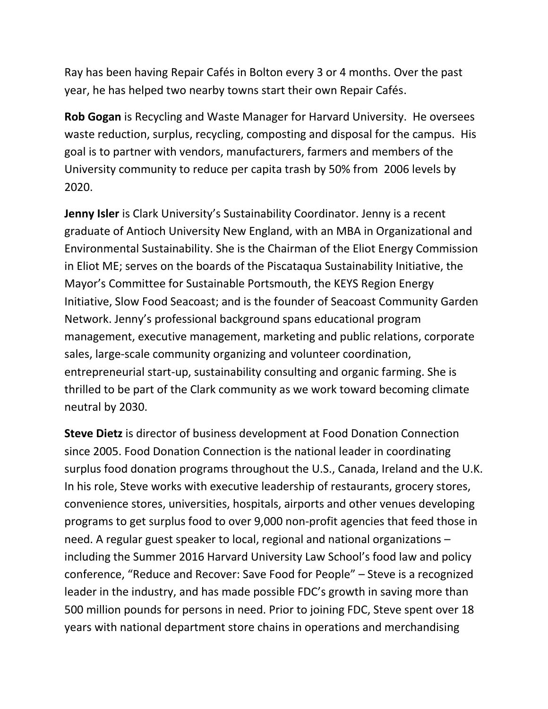Ray has been having Repair Cafés in Bolton every 3 or 4 months. Over the past year, he has helped two nearby towns start their own Repair Cafés.

**Rob Gogan** is Recycling and Waste Manager for Harvard University. He oversees waste reduction, surplus, recycling, composting and disposal for the campus. His goal is to partner with vendors, manufacturers, farmers and members of the University community to reduce per capita trash by 50% from 2006 levels by 2020.

**Jenny Isler** is Clark University's Sustainability Coordinator. Jenny is a recent graduate of Antioch University New England, with an MBA in Organizational and Environmental Sustainability. She is the Chairman of the Eliot Energy Commission in Eliot ME; serves on the boards of the Piscataqua Sustainability Initiative, the Mayor's Committee for Sustainable Portsmouth, the KEYS Region Energy Initiative, Slow Food Seacoast; and is the founder of Seacoast Community Garden Network. Jenny's professional background spans educational program management, executive management, marketing and public relations, corporate sales, large-scale community organizing and volunteer coordination, entrepreneurial start-up, sustainability consulting and organic farming. She is thrilled to be part of the Clark community as we work toward becoming climate neutral by 2030.

**Steve Dietz** is director of business development at Food Donation Connection since 2005. Food Donation Connection is the national leader in coordinating surplus food donation programs throughout the U.S., Canada, Ireland and the U.K. In his role, Steve works with executive leadership of restaurants, grocery stores, convenience stores, universities, hospitals, airports and other venues developing programs to get surplus food to over 9,000 non-profit agencies that feed those in need. A regular guest speaker to local, regional and national organizations – including the Summer 2016 Harvard University Law School's food law and policy conference, "Reduce and Recover: Save Food for People" – Steve is a recognized leader in the industry, and has made possible FDC's growth in saving more than 500 million pounds for persons in need. Prior to joining FDC, Steve spent over 18 years with national department store chains in operations and merchandising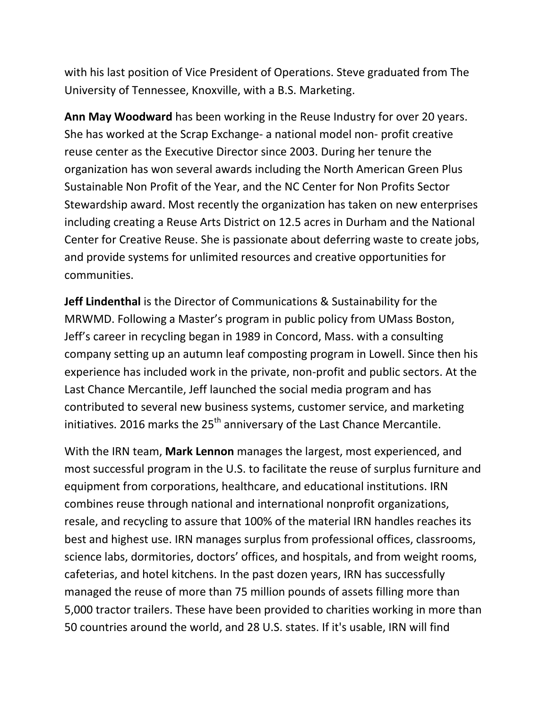with his last position of Vice President of Operations. Steve graduated from The University of Tennessee, Knoxville, with a B.S. Marketing.

**Ann May Woodward** has been working in the Reuse Industry for over 20 years. She has worked at the Scrap Exchange- a national model non- profit creative reuse center as the Executive Director since 2003. During her tenure the organization has won several awards including the North American Green Plus Sustainable Non Profit of the Year, and the NC Center for Non Profits Sector Stewardship award. Most recently the organization has taken on new enterprises including creating a Reuse Arts District on 12.5 acres in Durham and the National Center for Creative Reuse. She is passionate about deferring waste to create jobs, and provide systems for unlimited resources and creative opportunities for communities.

**Jeff Lindenthal** is the Director of Communications & Sustainability for the MRWMD. Following a Master's program in public policy from UMass Boston, Jeff's career in recycling began in 1989 in Concord, Mass. with a consulting company setting up an autumn leaf composting program in Lowell. Since then his experience has included work in the private, non-profit and public sectors. At the Last Chance Mercantile, Jeff launched the social media program and has contributed to several new business systems, customer service, and marketing initiatives. 2016 marks the 25<sup>th</sup> anniversary of the Last Chance Mercantile.

With the IRN team, **Mark Lennon** manages the largest, most experienced, and most successful program in the U.S. to facilitate the reuse of surplus furniture and equipment from corporations, healthcare, and educational institutions. IRN combines reuse through national and international nonprofit organizations, resale, and recycling to assure that 100% of the material IRN handles reaches its best and highest use. IRN manages surplus from professional offices, classrooms, science labs, dormitories, doctors' offices, and hospitals, and from weight rooms, cafeterias, and hotel kitchens. In the past dozen years, IRN has successfully managed the reuse of more than 75 million pounds of assets filling more than 5,000 tractor trailers. These have been provided to charities working in more than 50 countries around the world, and 28 U.S. states. If it's usable, IRN will find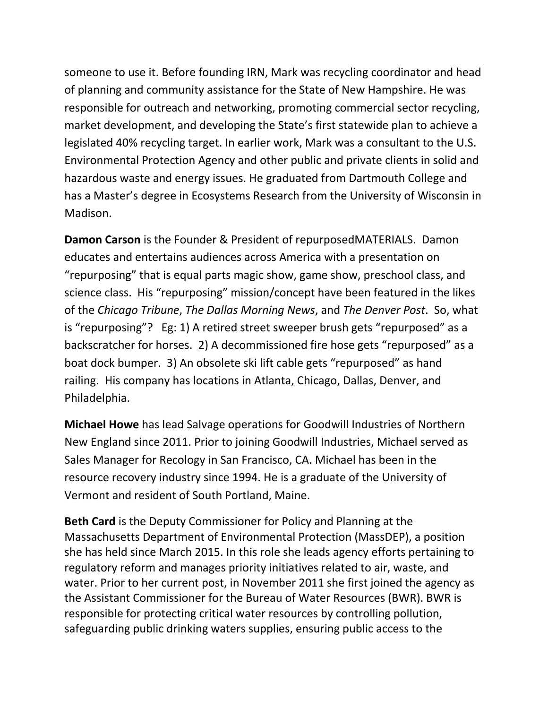someone to use it. Before founding IRN, Mark was recycling coordinator and head of planning and community assistance for the State of New Hampshire. He was responsible for outreach and networking, promoting commercial sector recycling, market development, and developing the State's first statewide plan to achieve a legislated 40% recycling target. In earlier work, Mark was a consultant to the U.S. Environmental Protection Agency and other public and private clients in solid and hazardous waste and energy issues. He graduated from Dartmouth College and has a Master's degree in Ecosystems Research from the University of Wisconsin in Madison.

**Damon Carson** is the Founder & President of repurposedMATERIALS. Damon educates and entertains audiences across America with a presentation on "repurposing" that is equal parts magic show, game show, preschool class, and science class. His "repurposing" mission/concept have been featured in the likes of the *Chicago Tribune*, *The Dallas Morning News*, and *The Denver Post*. So, what is "repurposing"? Eg: 1) A retired street sweeper brush gets "repurposed" as a backscratcher for horses. 2) A decommissioned fire hose gets "repurposed" as a boat dock bumper. 3) An obsolete ski lift cable gets "repurposed" as hand railing. His company has locations in Atlanta, Chicago, Dallas, Denver, and Philadelphia.

**Michael Howe** has lead Salvage operations for Goodwill Industries of Northern New England since 2011. Prior to joining Goodwill Industries, Michael served as Sales Manager for Recology in San Francisco, CA. Michael has been in the resource recovery industry since 1994. He is a graduate of the University of Vermont and resident of South Portland, Maine.

**Beth Card** is the Deputy Commissioner for Policy and Planning at the Massachusetts Department of Environmental Protection (MassDEP), a position she has held since March 2015. In this role she leads agency efforts pertaining to regulatory reform and manages priority initiatives related to air, waste, and water. Prior to her current post, in November 2011 she first joined the agency as the Assistant Commissioner for the Bureau of Water Resources (BWR). BWR is responsible for protecting critical water resources by controlling pollution, safeguarding public drinking waters supplies, ensuring public access to the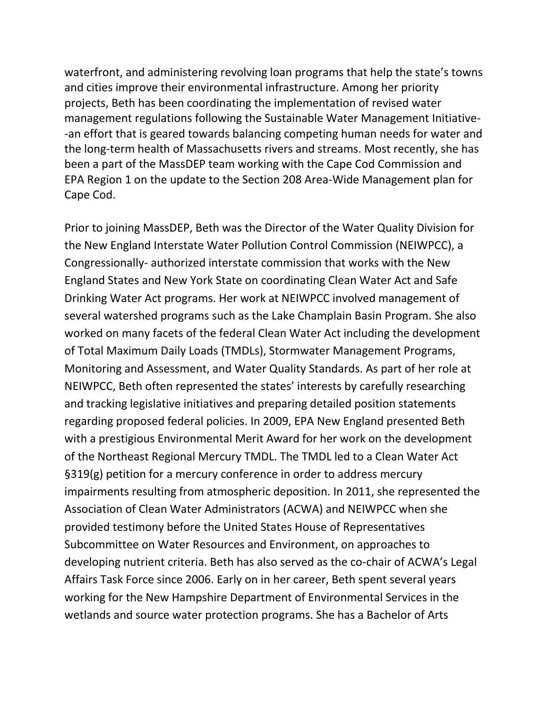waterfront, and administering revolving loan programs that help the state's towns and cities improve their environmental infrastructure. Among her priority projects, Beth has been coordinating the implementation of revised water management regulations following the Sustainable Water Management Initiative- -an effort that is geared towards balancing competing human needs for water and the long-term health of Massachusetts rivers and streams. Most recently, she has been a part of the MassDEP team working with the Cape Cod Commission and EPA Region 1 on the update to the Section 208 Area-Wide Management plan for Cape Cod.

Prior to joining MassDEP, Beth was the Director of the Water Quality Division for the New England Interstate Water Pollution Control Commission (NEIWPCC), a Congressionally- authorized interstate commission that works with the New England States and New York State on coordinating Clean Water Act and Safe Drinking Water Act programs. Her work at NEIWPCC involved management of several watershed programs such as the Lake Champlain Basin Program. She also worked on many facets of the federal Clean Water Act including the development of Total Maximum Daily Loads (TMDLs), Stormwater Management Programs, Monitoring and Assessment, and Water Quality Standards. As part of her role at NEIWPCC, Beth often represented the states' interests by carefully researching and tracking legislative initiatives and preparing detailed position statements regarding proposed federal policies. In 2009, EPA New England presented Beth with a prestigious Environmental Merit Award for her work on the development of the Northeast Regional Mercury TMDL. The TMDL led to a Clean Water Act §319(g) petition for a mercury conference in order to address mercury impairments resulting from atmospheric deposition. In 2011, she represented the Association of Clean Water Administrators (ACWA) and NEIWPCC when she provided testimony before the United States House of Representatives Subcommittee on Water Resources and Environment, on approaches to developing nutrient criteria. Beth has also served as the co-chair of ACWA's Legal Affairs Task Force since 2006. Early on in her career, Beth spent several years working for the New Hampshire Department of Environmental Services in the wetlands and source water protection programs. She has a Bachelor of Arts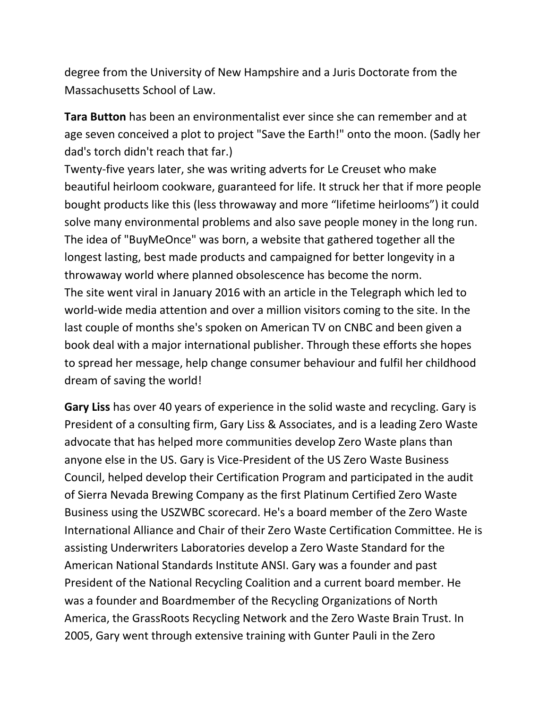degree from the University of New Hampshire and a Juris Doctorate from the Massachusetts School of Law.

**Tara Button** has been an environmentalist ever since she can remember and at age seven conceived a plot to project "Save the Earth!" onto the moon. (Sadly her dad's torch didn't reach that far.)

Twenty-five years later, she was writing adverts for Le Creuset who make beautiful heirloom cookware, guaranteed for life. It struck her that if more people bought products like this (less throwaway and more "lifetime heirlooms") it could solve many environmental problems and also save people money in the long run. The idea of "BuyMeOnce" was born, a website that gathered together all the longest lasting, best made products and campaigned for better longevity in a throwaway world where planned obsolescence has become the norm. The site went viral in January 2016 with an article in the Telegraph which led to world-wide media attention and over a million visitors coming to the site. In the last couple of months she's spoken on American TV on CNBC and been given a book deal with a major international publisher. Through these efforts she hopes to spread her message, help change consumer behaviour and fulfil her childhood dream of saving the world!

**Gary Liss** has over 40 years of experience in the solid waste and recycling. Gary is President of a consulting firm, Gary Liss & Associates, and is a leading Zero Waste advocate that has helped more communities develop Zero Waste plans than anyone else in the US. Gary is Vice-President of the US Zero Waste Business Council, helped develop their Certification Program and participated in the audit of Sierra Nevada Brewing Company as the first Platinum Certified Zero Waste Business using the USZWBC scorecard. He's a board member of the Zero Waste International Alliance and Chair of their Zero Waste Certification Committee. He is assisting Underwriters Laboratories develop a Zero Waste Standard for the American National Standards Institute ANSI. Gary was a founder and past President of the National Recycling Coalition and a current board member. He was a founder and Boardmember of the Recycling Organizations of North America, the GrassRoots Recycling Network and the Zero Waste Brain Trust. In 2005, Gary went through extensive training with Gunter Pauli in the Zero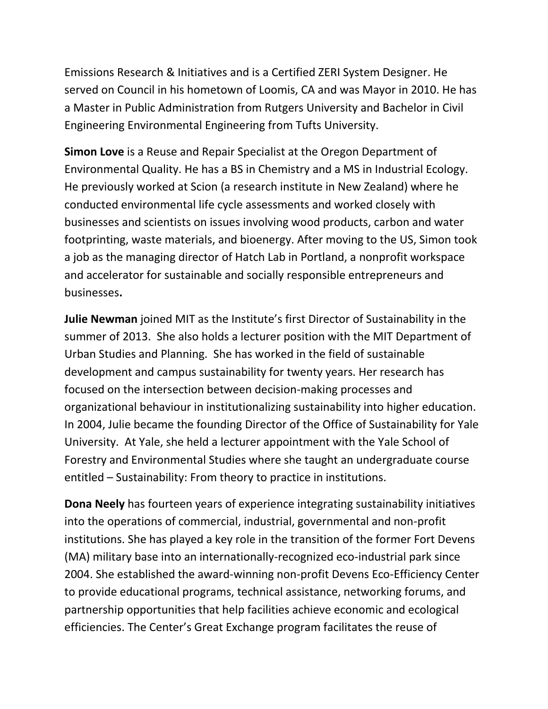Emissions Research & Initiatives and is a Certified ZERI System Designer. He served on Council in his hometown of Loomis, CA and was Mayor in 2010. He has a Master in Public Administration from Rutgers University and Bachelor in Civil Engineering Environmental Engineering from Tufts University.

**Simon Love** is a Reuse and Repair Specialist at the Oregon Department of Environmental Quality. He has a BS in Chemistry and a MS in Industrial Ecology. He previously worked at Scion (a research institute in New Zealand) where he conducted environmental life cycle assessments and worked closely with businesses and scientists on issues involving wood products, carbon and water footprinting, waste materials, and bioenergy. After moving to the US, Simon took a job as the managing director of Hatch Lab in Portland, a nonprofit workspace and accelerator for sustainable and socially responsible entrepreneurs and businesses**.**

**Julie Newman** joined MIT as the Institute's first Director of Sustainability in the summer of 2013. She also holds a lecturer position with the MIT Department of Urban Studies and Planning. She has worked in the field of sustainable development and campus sustainability for twenty years. Her research has focused on the intersection between decision-making processes and organizational behaviour in institutionalizing sustainability into higher education. In 2004, Julie became the founding Director of the Office of Sustainability for Yale University. At Yale, she held a lecturer appointment with the Yale School of Forestry and Environmental Studies where she taught an undergraduate course entitled – Sustainability: From theory to practice in institutions.

**Dona Neely** has fourteen years of experience integrating sustainability initiatives into the operations of commercial, industrial, governmental and non-profit institutions. She has played a key role in the transition of the former Fort Devens (MA) military base into an internationally-recognized eco-industrial park since 2004. She established the award-winning non-profit Devens Eco-Efficiency Center to provide educational programs, technical assistance, networking forums, and partnership opportunities that help facilities achieve economic and ecological efficiencies. The Center's Great Exchange program facilitates the reuse of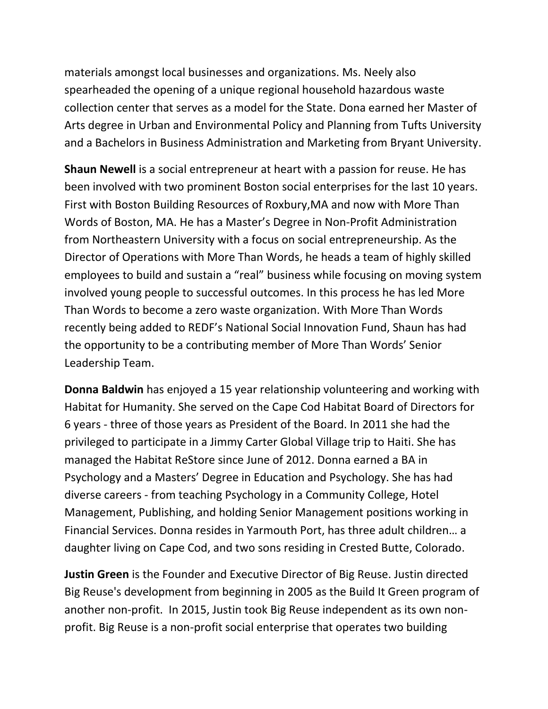materials amongst local businesses and organizations. Ms. Neely also spearheaded the opening of a unique regional household hazardous waste collection center that serves as a model for the State. Dona earned her Master of Arts degree in Urban and Environmental Policy and Planning from Tufts University and a Bachelors in Business Administration and Marketing from Bryant University.

**Shaun Newell** is a social entrepreneur at heart with a passion for reuse. He has been involved with two prominent Boston social enterprises for the last 10 years. First with Boston Building Resources of Roxbury,MA and now with More Than Words of Boston, MA. He has a Master's Degree in Non-Profit Administration from Northeastern University with a focus on social entrepreneurship. As the Director of Operations with More Than Words, he heads a team of highly skilled employees to build and sustain a "real" business while focusing on moving system involved young people to successful outcomes. In this process he has led More Than Words to become a zero waste organization. With More Than Words recently being added to REDF's National Social Innovation Fund, Shaun has had the opportunity to be a contributing member of More Than Words' Senior Leadership Team.

**Donna Baldwin** has enjoyed a 15 year relationship volunteering and working with Habitat for Humanity. She served on the Cape Cod Habitat Board of Directors for 6 years - three of those years as President of the Board. In 2011 she had the privileged to participate in a Jimmy Carter Global Village trip to Haiti. She has managed the Habitat ReStore since June of 2012. Donna earned a BA in Psychology and a Masters' Degree in Education and Psychology. She has had diverse careers - from teaching Psychology in a Community College, Hotel Management, Publishing, and holding Senior Management positions working in Financial Services. Donna resides in Yarmouth Port, has three adult children… a daughter living on Cape Cod, and two sons residing in Crested Butte, Colorado.

**Justin Green** is the Founder and Executive Director of Big Reuse. Justin directed Big Reuse's development from beginning in 2005 as the Build It Green program of another non-profit. In 2015, Justin took Big Reuse independent as its own nonprofit. Big Reuse is a non-profit social enterprise that operates two building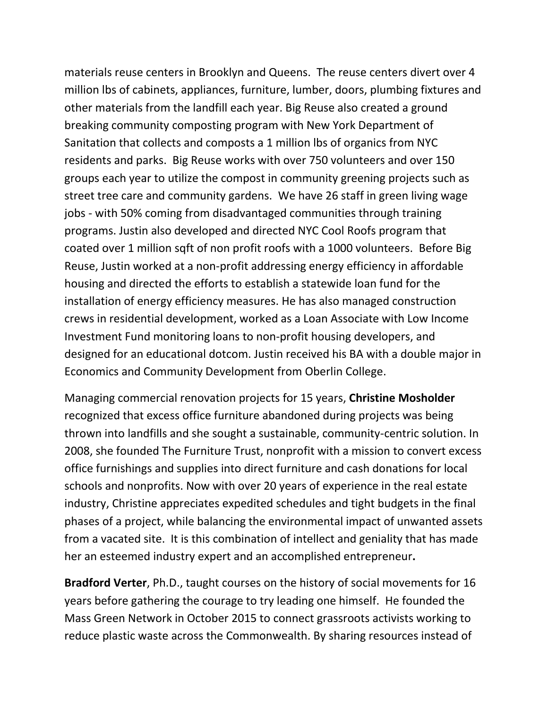materials reuse centers in Brooklyn and Queens. The reuse centers divert over 4 million lbs of cabinets, appliances, furniture, lumber, doors, plumbing fixtures and other materials from the landfill each year. Big Reuse also created a ground breaking community composting program with New York Department of Sanitation that collects and composts a 1 million lbs of organics from NYC residents and parks. Big Reuse works with over 750 volunteers and over 150 groups each year to utilize the compost in community greening projects such as street tree care and community gardens. We have 26 staff in green living wage jobs - with 50% coming from disadvantaged communities through training programs. Justin also developed and directed NYC Cool Roofs program that coated over 1 million sqft of non profit roofs with a 1000 volunteers. Before Big Reuse, Justin worked at a non-profit addressing energy efficiency in affordable housing and directed the efforts to establish a statewide loan fund for the installation of energy efficiency measures. He has also managed construction crews in residential development, worked as a Loan Associate with Low Income Investment Fund monitoring loans to non-profit housing developers, and designed for an educational dotcom. Justin received his BA with a double major in Economics and Community Development from Oberlin College.

Managing commercial renovation projects for 15 years, **Christine Mosholder** recognized that excess office furniture abandoned during projects was being thrown into landfills and she sought a sustainable, community-centric solution. In 2008, she founded The Furniture Trust, nonprofit with a mission to convert excess office furnishings and supplies into direct furniture and cash donations for local schools and nonprofits. Now with over 20 years of experience in the real estate industry, Christine appreciates expedited schedules and tight budgets in the final phases of a project, while balancing the environmental impact of unwanted assets from a vacated site. It is this combination of intellect and geniality that has made her an esteemed industry expert and an accomplished entrepreneur**.**

**Bradford Verter**, Ph.D., taught courses on the history of social movements for 16 years before gathering the courage to try leading one himself. He founded the Mass Green Network in October 2015 to connect grassroots activists working to reduce plastic waste across the Commonwealth. By sharing resources instead of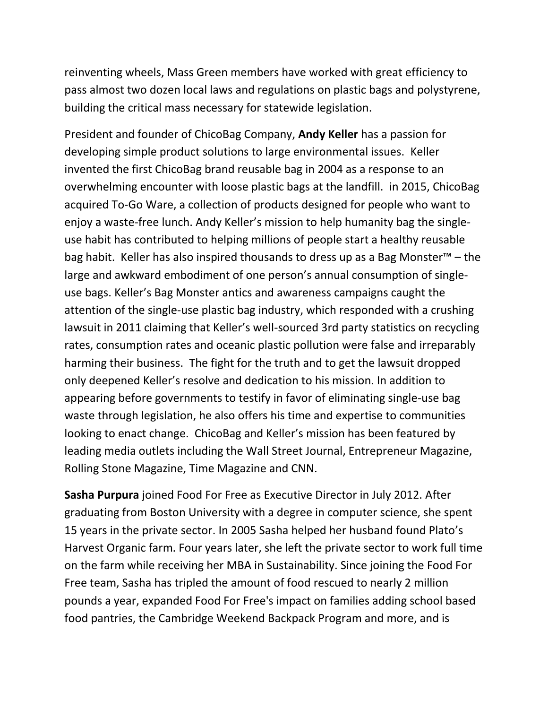reinventing wheels, Mass Green members have worked with great efficiency to pass almost two dozen local laws and regulations on plastic bags and polystyrene, building the critical mass necessary for statewide legislation.

President and founder of ChicoBag Company, **Andy Keller** has a passion for developing simple product solutions to large environmental issues. Keller invented the first ChicoBag brand reusable bag in 2004 as a response to an overwhelming encounter with loose plastic bags at the landfill. in 2015, ChicoBag acquired To-Go Ware, a collection of products designed for people who want to enjoy a waste-free lunch. Andy Keller's mission to help humanity bag the singleuse habit has contributed to helping millions of people start a healthy reusable bag habit. Keller has also inspired thousands to dress up as a Bag Monster™ – the large and awkward embodiment of one person's annual consumption of singleuse bags. Keller's Bag Monster antics and awareness campaigns caught the attention of the single-use plastic bag industry, which responded with a crushing lawsuit in 2011 claiming that Keller's well-sourced 3rd party statistics on recycling rates, consumption rates and oceanic plastic pollution were false and irreparably harming their business. The fight for the truth and to get the lawsuit dropped only deepened Keller's resolve and dedication to his mission. In addition to appearing before governments to testify in favor of eliminating single-use bag waste through legislation, he also offers his time and expertise to communities looking to enact change. ChicoBag and Keller's mission has been featured by leading media outlets including the Wall Street Journal, Entrepreneur Magazine, Rolling Stone Magazine, Time Magazine and CNN.

**Sasha Purpura** joined Food For Free as Executive Director in July 2012. After graduating from Boston University with a degree in computer science, she spent 15 years in the private sector. In 2005 Sasha helped her husband found Plato's Harvest Organic farm. Four years later, she left the private sector to work full time on the farm while receiving her MBA in Sustainability. Since joining the Food For Free team, Sasha has tripled the amount of food rescued to nearly 2 million pounds a year, expanded Food For Free's impact on families adding school based food pantries, the Cambridge Weekend Backpack Program and more, and is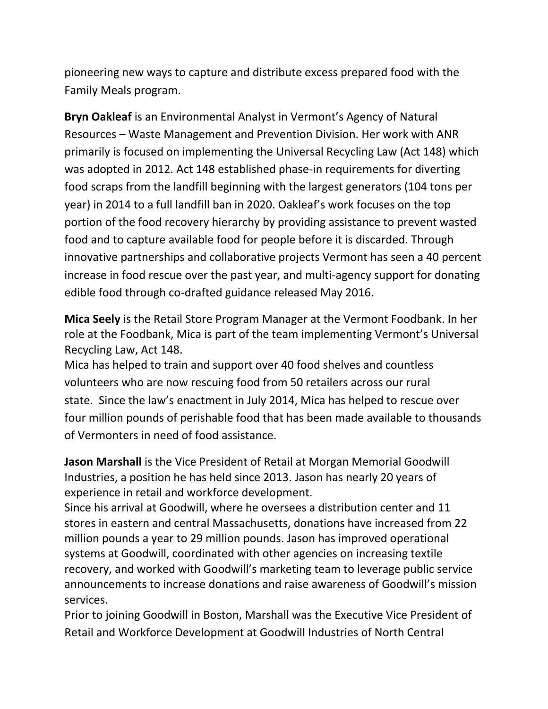pioneering new ways to capture and distribute excess prepared food with the Family Meals program.

**Bryn Oakleaf** is an Environmental Analyst in Vermont's Agency of Natural Resources – Waste Management and Prevention Division. Her work with ANR primarily is focused on implementing the Universal Recycling Law (Act 148) which was adopted in 2012. Act 148 established phase-in requirements for diverting food scraps from the landfill beginning with the largest generators (104 tons per year) in 2014 to a full landfill ban in 2020. Oakleaf's work focuses on the top portion of the food recovery hierarchy by providing assistance to prevent wasted food and to capture available food for people before it is discarded. Through innovative partnerships and collaborative projects Vermont has seen a 40 percent increase in food rescue over the past year, and multi-agency support for donating edible food through co-drafted guidance released May 2016.

**Mica Seely** is the Retail Store Program Manager at the Vermont Foodbank. In her role at the Foodbank, Mica is part of the team implementing Vermont's Universal Recycling Law, Act 148.

Mica has helped to train and support over 40 food shelves and countless volunteers who are now rescuing food from 50 retailers across our rural state. Since the law's enactment in July 2014, Mica has helped to rescue over four million pounds of perishable food that has been made available to thousands of Vermonters in need of food assistance.

**Jason Marshall** is the Vice President of Retail at Morgan Memorial Goodwill Industries, a position he has held since 2013. Jason has nearly 20 years of experience in retail and workforce development.

Since his arrival at Goodwill, where he oversees a distribution center and 11 stores in eastern and central Massachusetts, donations have increased from 22 million pounds a year to 29 million pounds. Jason has improved operational systems at Goodwill, coordinated with other agencies on increasing textile recovery, and worked with Goodwill's marketing team to leverage public service announcements to increase donations and raise awareness of Goodwill's mission services.

Prior to joining Goodwill in Boston, Marshall was the Executive Vice President of Retail and Workforce Development at Goodwill Industries of North Central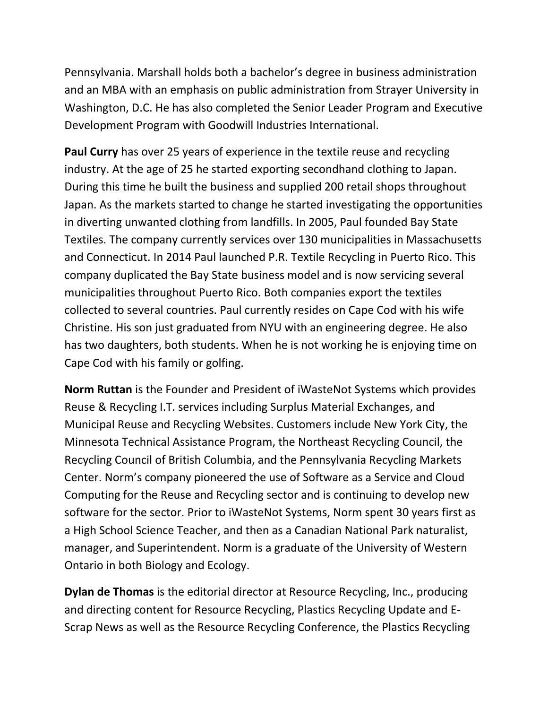Pennsylvania. Marshall holds both a bachelor's degree in business administration and an MBA with an emphasis on public administration from Strayer University in Washington, D.C. He has also completed the Senior Leader Program and Executive Development Program with Goodwill Industries International.

**Paul Curry** has over 25 years of experience in the textile reuse and recycling industry. At the age of 25 he started exporting secondhand clothing to Japan. During this time he built the business and supplied 200 retail shops throughout Japan. As the markets started to change he started investigating the opportunities in diverting unwanted clothing from landfills. In 2005, Paul founded Bay State Textiles. The company currently services over 130 municipalities in Massachusetts and Connecticut. In 2014 Paul launched P.R. Textile Recycling in Puerto Rico. This company duplicated the Bay State business model and is now servicing several municipalities throughout Puerto Rico. Both companies export the textiles collected to several countries. Paul currently resides on Cape Cod with his wife Christine. His son just graduated from NYU with an engineering degree. He also has two daughters, both students. When he is not working he is enjoying time on Cape Cod with his family or golfing.

**Norm Ruttan** is the Founder and President of iWasteNot Systems which provides Reuse & Recycling I.T. services including Surplus Material Exchanges, and Municipal Reuse and Recycling Websites. Customers include New York City, the Minnesota Technical Assistance Program, the Northeast Recycling Council, the Recycling Council of British Columbia, and the Pennsylvania Recycling Markets Center. Norm's company pioneered the use of Software as a Service and Cloud Computing for the Reuse and Recycling sector and is continuing to develop new software for the sector. Prior to iWasteNot Systems, Norm spent 30 years first as a High School Science Teacher, and then as a Canadian National Park naturalist, manager, and Superintendent. Norm is a graduate of the University of Western Ontario in both Biology and Ecology.

**Dylan de Thomas** is the editorial director at Resource Recycling, Inc., producing and directing content for Resource Recycling, Plastics Recycling Update and E-Scrap News as well as the Resource Recycling Conference, the Plastics Recycling